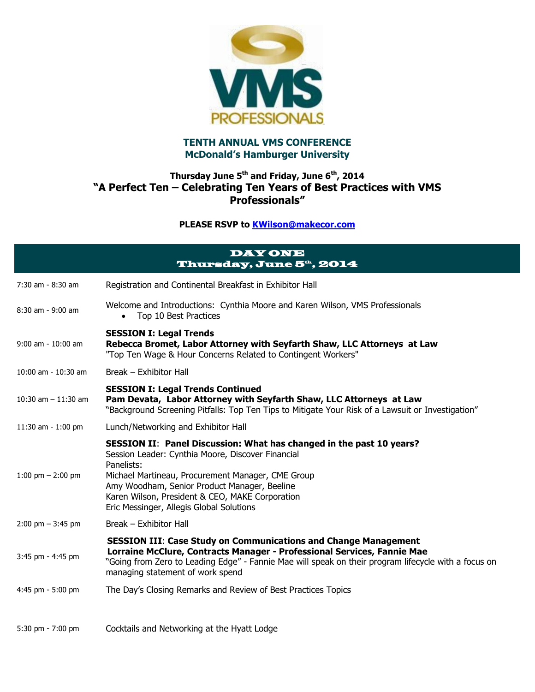

## **TENTH ANNUAL VMS CONFERENCE McDonald's Hamburger University**

## **Thursday June 5th and Friday, June 6th, 2014 "A Perfect Ten – Celebrating Ten Years of Best Practices with VMS Professionals"**

**PLEASE RSVP to [KWilson@makecor.com](mailto:KWilson@makecor.com)**

|                                     | <b>DAY ONE</b><br>Thursday, June 5 <sup>th</sup> , 2014                                                                                                                                                                                                                                                                                     |
|-------------------------------------|---------------------------------------------------------------------------------------------------------------------------------------------------------------------------------------------------------------------------------------------------------------------------------------------------------------------------------------------|
| 7:30 am - 8:30 am                   | Registration and Continental Breakfast in Exhibitor Hall                                                                                                                                                                                                                                                                                    |
| 8:30 am - 9:00 am                   | Welcome and Introductions: Cynthia Moore and Karen Wilson, VMS Professionals<br>Top 10 Best Practices<br>$\bullet$                                                                                                                                                                                                                          |
| 9:00 am - 10:00 am                  | <b>SESSION I: Legal Trends</b><br>Rebecca Bromet, Labor Attorney with Seyfarth Shaw, LLC Attorneys at Law<br>"Top Ten Wage & Hour Concerns Related to Contingent Workers"                                                                                                                                                                   |
| 10:00 am - 10:30 am                 | Break - Exhibitor Hall                                                                                                                                                                                                                                                                                                                      |
| 10:30 am $-$ 11:30 am               | <b>SESSION I: Legal Trends Continued</b><br>Pam Devata, Labor Attorney with Seyfarth Shaw, LLC Attorneys at Law<br>"Background Screening Pitfalls: Top Ten Tips to Mitigate Your Risk of a Lawsuit or Investigation"                                                                                                                        |
| 11:30 am - 1:00 pm                  | Lunch/Networking and Exhibitor Hall                                                                                                                                                                                                                                                                                                         |
| 1:00 pm $-$ 2:00 pm                 | SESSION II: Panel Discussion: What has changed in the past 10 years?<br>Session Leader: Cynthia Moore, Discover Financial<br>Panelists:<br>Michael Martineau, Procurement Manager, CME Group<br>Amy Woodham, Senior Product Manager, Beeline<br>Karen Wilson, President & CEO, MAKE Corporation<br>Eric Messinger, Allegis Global Solutions |
| $2:00 \text{ pm} - 3:45 \text{ pm}$ | Break – Exhibitor Hall                                                                                                                                                                                                                                                                                                                      |
| 3:45 pm - 4:45 pm                   | <b>SESSION III: Case Study on Communications and Change Management</b><br>Lorraine McClure, Contracts Manager - Professional Services, Fannie Mae<br>"Going from Zero to Leading Edge" - Fannie Mae will speak on their program lifecycle with a focus on<br>managing statement of work spend                                               |
| 4:45 pm - 5:00 pm                   | The Day's Closing Remarks and Review of Best Practices Topics                                                                                                                                                                                                                                                                               |
| 5:30 pm - 7:00 pm                   | Cocktails and Networking at the Hyatt Lodge                                                                                                                                                                                                                                                                                                 |